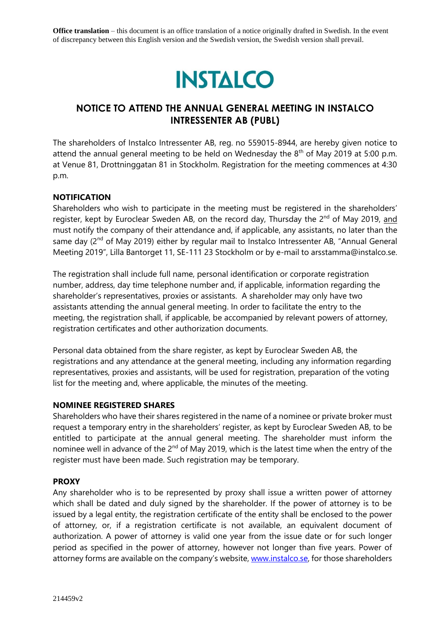**Office translation** – this document is an office translation of a notice originally drafted in Swedish. In the event of discrepancy between this English version and the Swedish version, the Swedish version shall prevail.



# **NOTICE TO ATTEND THE ANNUAL GENERAL MEETING IN INSTALCO INTRESSENTER AB (PUBL)**

The shareholders of Instalco Intressenter AB, reg. no 559015-8944, are hereby given notice to attend the annual general meeting to be held on Wednesday the  $8<sup>th</sup>$  of May 2019 at 5:00 p.m. at Venue 81, Drottninggatan 81 in Stockholm. Registration for the meeting commences at 4:30 p.m.

### **NOTIFICATION**

Shareholders who wish to participate in the meeting must be registered in the shareholders' register, kept by Euroclear Sweden AB, on the record day, Thursday the 2<sup>nd</sup> of May 2019, and must notify the company of their attendance and, if applicable, any assistants, no later than the same day (2<sup>nd</sup> of May 2019) either by regular mail to Instalco Intressenter AB, "Annual General Meeting 2019", Lilla Bantorget 11, SE-111 23 Stockholm or by e-mail to arsstamma@instalco.se.

The registration shall include full name, personal identification or corporate registration number, address, day time telephone number and, if applicable, information regarding the shareholder's representatives, proxies or assistants. A shareholder may only have two assistants attending the annual general meeting. In order to facilitate the entry to the meeting, the registration shall, if applicable, be accompanied by relevant powers of attorney, registration certificates and other authorization documents.

Personal data obtained from the share register, as kept by Euroclear Sweden AB, the registrations and any attendance at the general meeting, including any information regarding representatives, proxies and assistants, will be used for registration, preparation of the voting list for the meeting and, where applicable, the minutes of the meeting.

### **NOMINEE REGISTERED SHARES**

Shareholders who have their shares registered in the name of a nominee or private broker must request a temporary entry in the shareholders' register, as kept by Euroclear Sweden AB, to be entitled to participate at the annual general meeting. The shareholder must inform the nominee well in advance of the 2<sup>nd</sup> of May 2019, which is the latest time when the entry of the register must have been made. Such registration may be temporary.

#### **PROXY**

Any shareholder who is to be represented by proxy shall issue a written power of attorney which shall be dated and duly signed by the shareholder. If the power of attorney is to be issued by a legal entity, the registration certificate of the entity shall be enclosed to the power of attorney, or, if a registration certificate is not available, an equivalent document of authorization. A power of attorney is valid one year from the issue date or for such longer period as specified in the power of attorney, however not longer than five years. Power of attorney forms are available on the company's website, [www.instalco.se,](http://www.instalco.se/) for those shareholders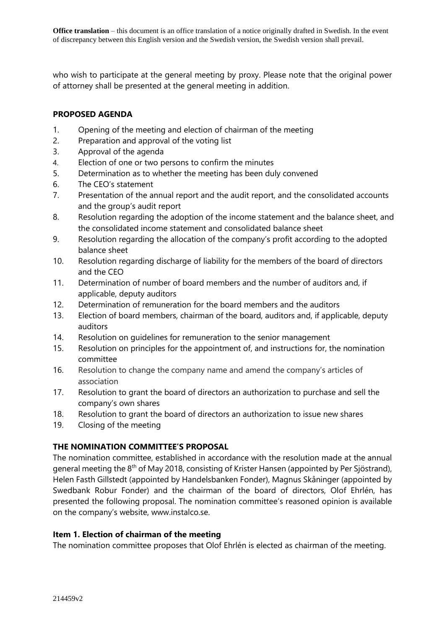who wish to participate at the general meeting by proxy. Please note that the original power of attorney shall be presented at the general meeting in addition.

### **PROPOSED AGENDA**

- 1. Opening of the meeting and election of chairman of the meeting
- 2. Preparation and approval of the voting list
- 3. Approval of the agenda
- 4. Election of one or two persons to confirm the minutes
- 5. Determination as to whether the meeting has been duly convened
- 6. The CEO's statement
- 7. Presentation of the annual report and the audit report, and the consolidated accounts and the group's audit report
- 8. Resolution regarding the adoption of the income statement and the balance sheet, and the consolidated income statement and consolidated balance sheet
- 9. Resolution regarding the allocation of the company's profit according to the adopted balance sheet
- 10. Resolution regarding discharge of liability for the members of the board of directors and the CEO
- 11. Determination of number of board members and the number of auditors and, if applicable, deputy auditors
- 12. Determination of remuneration for the board members and the auditors
- 13. Election of board members, chairman of the board, auditors and, if applicable, deputy auditors
- 14. Resolution on guidelines for remuneration to the senior management
- 15. Resolution on principles for the appointment of, and instructions for, the nomination committee
- 16. Resolution to change the company name and amend the company's articles of association
- 17. Resolution to grant the board of directors an authorization to purchase and sell the company's own shares
- 18. Resolution to grant the board of directors an authorization to issue new shares
- 19. Closing of the meeting

### **THE NOMINATION COMMITTEE'S PROPOSAL**

The nomination committee, established in accordance with the resolution made at the annual general meeting the 8<sup>th</sup> of May 2018, consisting of Krister Hansen (appointed by Per Sjöstrand), Helen Fasth Gillstedt (appointed by Handelsbanken Fonder), Magnus Skåninger (appointed by Swedbank Robur Fonder) and the chairman of the board of directors, Olof Ehrlén, has presented the following proposal. The nomination committee's reasoned opinion is available on the company's website, www.instalco.se.

### **Item 1. Election of chairman of the meeting**

The nomination committee proposes that Olof Ehrlén is elected as chairman of the meeting.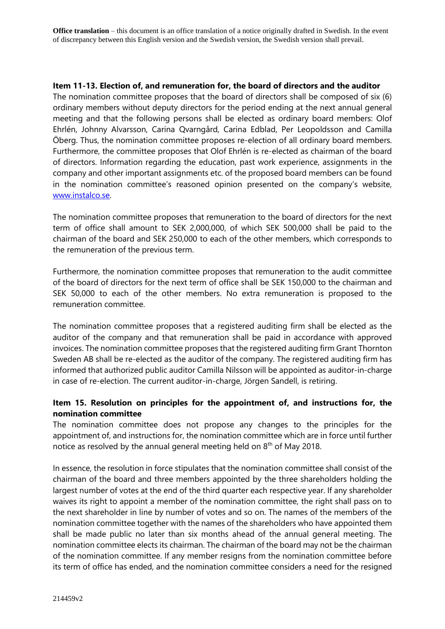**Office translation** – this document is an office translation of a notice originally drafted in Swedish. In the event of discrepancy between this English version and the Swedish version, the Swedish version shall prevail.

#### **Item 11-13. Election of, and remuneration for, the board of directors and the auditor**

The nomination committee proposes that the board of directors shall be composed of six (6) ordinary members without deputy directors for the period ending at the next annual general meeting and that the following persons shall be elected as ordinary board members: Olof Ehrlén, Johnny Alvarsson, Carina Qvarngård, Carina Edblad, Per Leopoldsson and Camilla Öberg. Thus, the nomination committee proposes re-election of all ordinary board members. Furthermore, the committee proposes that Olof Ehrlén is re-elected as chairman of the board of directors. Information regarding the education, past work experience, assignments in the company and other important assignments etc. of the proposed board members can be found in the nomination committee's reasoned opinion presented on the company's website, [www.instalco.se.](http://www.instalco.se/)

The nomination committee proposes that remuneration to the board of directors for the next term of office shall amount to SEK 2,000,000, of which SEK 500,000 shall be paid to the chairman of the board and SEK 250,000 to each of the other members, which corresponds to the remuneration of the previous term.

Furthermore, the nomination committee proposes that remuneration to the audit committee of the board of directors for the next term of office shall be SEK 150,000 to the chairman and SEK 50,000 to each of the other members. No extra remuneration is proposed to the remuneration committee.

The nomination committee proposes that a registered auditing firm shall be elected as the auditor of the company and that remuneration shall be paid in accordance with approved invoices. The nomination committee proposes that the registered auditing firm Grant Thornton Sweden AB shall be re-elected as the auditor of the company. The registered auditing firm has informed that authorized public auditor Camilla Nilsson will be appointed as auditor-in-charge in case of re-election. The current auditor-in-charge, Jörgen Sandell, is retiring.

### **Item 15. Resolution on principles for the appointment of, and instructions for, the nomination committee**

The nomination committee does not propose any changes to the principles for the appointment of, and instructions for, the nomination committee which are in force until further notice as resolved by the annual general meeting held on 8<sup>th</sup> of May 2018.

In essence, the resolution in force stipulates that the nomination committee shall consist of the chairman of the board and three members appointed by the three shareholders holding the largest number of votes at the end of the third quarter each respective year. If any shareholder waives its right to appoint a member of the nomination committee, the right shall pass on to the next shareholder in line by number of votes and so on. The names of the members of the nomination committee together with the names of the shareholders who have appointed them shall be made public no later than six months ahead of the annual general meeting. The nomination committee elects its chairman. The chairman of the board may not be the chairman of the nomination committee. If any member resigns from the nomination committee before its term of office has ended, and the nomination committee considers a need for the resigned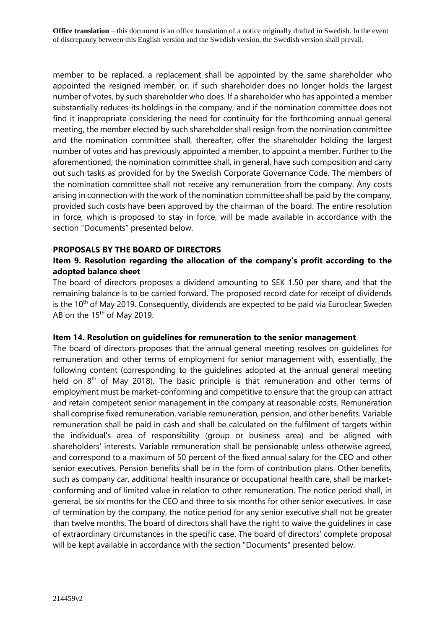member to be replaced, a replacement shall be appointed by the same shareholder who appointed the resigned member, or, if such shareholder does no longer holds the largest number of votes, by such shareholder who does. If a shareholder who has appointed a member substantially reduces its holdings in the company, and if the nomination committee does not find it inappropriate considering the need for continuity for the forthcoming annual general meeting, the member elected by such shareholder shall resign from the nomination committee and the nomination committee shall, thereafter, offer the shareholder holding the largest number of votes and has previously appointed a member, to appoint a member. Further to the aforementioned, the nomination committee shall, in general, have such composition and carry out such tasks as provided for by the Swedish Corporate Governance Code. The members of the nomination committee shall not receive any remuneration from the company. Any costs arising in connection with the work of the nomination committee shall be paid by the company, provided such costs have been approved by the chairman of the board. The entire resolution in force, which is proposed to stay in force, will be made available in accordance with the section "Documents" presented below.

### **PROPOSALS BY THE BOARD OF DIRECTORS**

### **Item 9. Resolution regarding the allocation of the company's profit according to the adopted balance sheet**

The board of directors proposes a dividend amounting to SEK 1.50 per share, and that the remaining balance is to be carried forward. The proposed record date for receipt of dividends is the 10<sup>th</sup> of May 2019. Consequently, dividends are expected to be paid via Euroclear Sweden AB on the 15<sup>th</sup> of May 2019.

### **Item 14. Resolution on guidelines for remuneration to the senior management**

The board of directors proposes that the annual general meeting resolves on guidelines for remuneration and other terms of employment for senior management with, essentially, the following content (corresponding to the guidelines adopted at the annual general meeting held on  $8<sup>th</sup>$  of May 2018). The basic principle is that remuneration and other terms of employment must be market-conforming and competitive to ensure that the group can attract and retain competent senior management in the company at reasonable costs. Remuneration shall comprise fixed remuneration, variable remuneration, pension, and other benefits. Variable remuneration shall be paid in cash and shall be calculated on the fulfilment of targets within the individual's area of responsibility (group or business area) and be aligned with shareholders' interests. Variable remuneration shall be pensionable unless otherwise agreed, and correspond to a maximum of 50 percent of the fixed annual salary for the CEO and other senior executives. Pension benefits shall be in the form of contribution plans. Other benefits, such as company car, additional health insurance or occupational health care, shall be marketconforming and of limited value in relation to other remuneration. The notice period shall, in general, be six months for the CEO and three to six months for other senior executives. In case of termination by the company, the notice period for any senior executive shall not be greater than twelve months. The board of directors shall have the right to waive the guidelines in case of extraordinary circumstances in the specific case. The board of directors' complete proposal will be kept available in accordance with the section "Documents" presented below.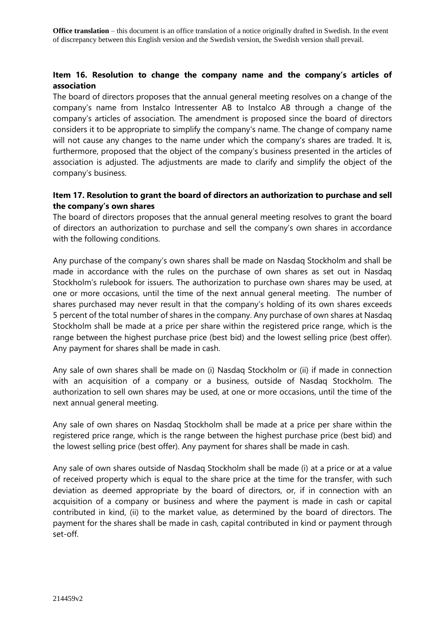### **Item 16. Resolution to change the company name and the company's articles of association**

The board of directors proposes that the annual general meeting resolves on a change of the company's name from Instalco Intressenter AB to Instalco AB through a change of the company's articles of association. The amendment is proposed since the board of directors considers it to be appropriate to simplify the company's name. The change of company name will not cause any changes to the name under which the company's shares are traded. It is, furthermore, proposed that the object of the company's business presented in the articles of association is adjusted. The adjustments are made to clarify and simplify the object of the company's business.

## **Item 17. Resolution to grant the board of directors an authorization to purchase and sell the company's own shares**

The board of directors proposes that the annual general meeting resolves to grant the board of directors an authorization to purchase and sell the company's own shares in accordance with the following conditions.

Any purchase of the company's own shares shall be made on Nasdaq Stockholm and shall be made in accordance with the rules on the purchase of own shares as set out in Nasdaq Stockholm's rulebook for issuers. The authorization to purchase own shares may be used, at one or more occasions, until the time of the next annual general meeting. The number of shares purchased may never result in that the company's holding of its own shares exceeds 5 percent of the total number of shares in the company. Any purchase of own shares at Nasdaq Stockholm shall be made at a price per share within the registered price range, which is the range between the highest purchase price (best bid) and the lowest selling price (best offer). Any payment for shares shall be made in cash.

Any sale of own shares shall be made on (i) Nasdaq Stockholm or (ii) if made in connection with an acquisition of a company or a business, outside of Nasdaq Stockholm. The authorization to sell own shares may be used, at one or more occasions, until the time of the next annual general meeting.

Any sale of own shares on Nasdaq Stockholm shall be made at a price per share within the registered price range, which is the range between the highest purchase price (best bid) and the lowest selling price (best offer). Any payment for shares shall be made in cash.

Any sale of own shares outside of Nasdaq Stockholm shall be made (i) at a price or at a value of received property which is equal to the share price at the time for the transfer, with such deviation as deemed appropriate by the board of directors, or, if in connection with an acquisition of a company or business and where the payment is made in cash or capital contributed in kind, (ii) to the market value, as determined by the board of directors. The payment for the shares shall be made in cash, capital contributed in kind or payment through set-off.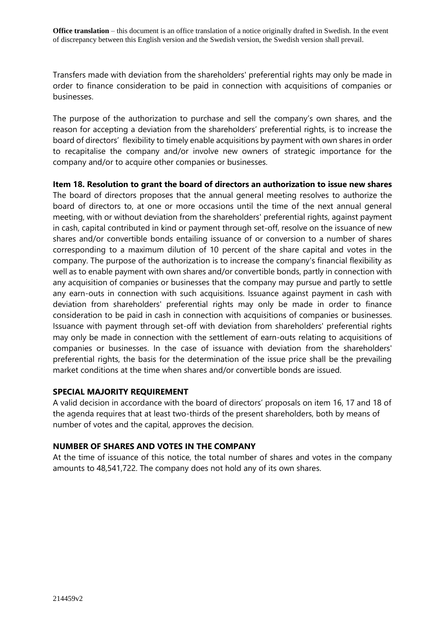Transfers made with deviation from the shareholders' preferential rights may only be made in order to finance consideration to be paid in connection with acquisitions of companies or businesses.

The purpose of the authorization to purchase and sell the company's own shares, and the reason for accepting a deviation from the shareholders' preferential rights, is to increase the board of directors' flexibility to timely enable acquisitions by payment with own shares in order to recapitalise the company and/or involve new owners of strategic importance for the company and/or to acquire other companies or businesses.

**Item 18. Resolution to grant the board of directors an authorization to issue new shares** The board of directors proposes that the annual general meeting resolves to authorize the board of directors to, at one or more occasions until the time of the next annual general meeting, with or without deviation from the shareholders' preferential rights, against payment in cash, capital contributed in kind or payment through set-off, resolve on the issuance of new shares and/or convertible bonds entailing issuance of or conversion to a number of shares corresponding to a maximum dilution of 10 percent of the share capital and votes in the company. The purpose of the authorization is to increase the company's financial flexibility as well as to enable payment with own shares and/or convertible bonds, partly in connection with any acquisition of companies or businesses that the company may pursue and partly to settle any earn-outs in connection with such acquisitions. Issuance against payment in cash with deviation from shareholders' preferential rights may only be made in order to finance consideration to be paid in cash in connection with acquisitions of companies or businesses. Issuance with payment through set-off with deviation from shareholders' preferential rights may only be made in connection with the settlement of earn-outs relating to acquisitions of companies or businesses. In the case of issuance with deviation from the shareholders' preferential rights, the basis for the determination of the issue price shall be the prevailing market conditions at the time when shares and/or convertible bonds are issued.

### **SPECIAL MAJORITY REQUIREMENT**

A valid decision in accordance with the board of directors' proposals on item 16, 17 and 18 of the agenda requires that at least two-thirds of the present shareholders, both by means of number of votes and the capital, approves the decision.

### **NUMBER OF SHARES AND VOTES IN THE COMPANY**

At the time of issuance of this notice, the total number of shares and votes in the company amounts to 48,541,722. The company does not hold any of its own shares.